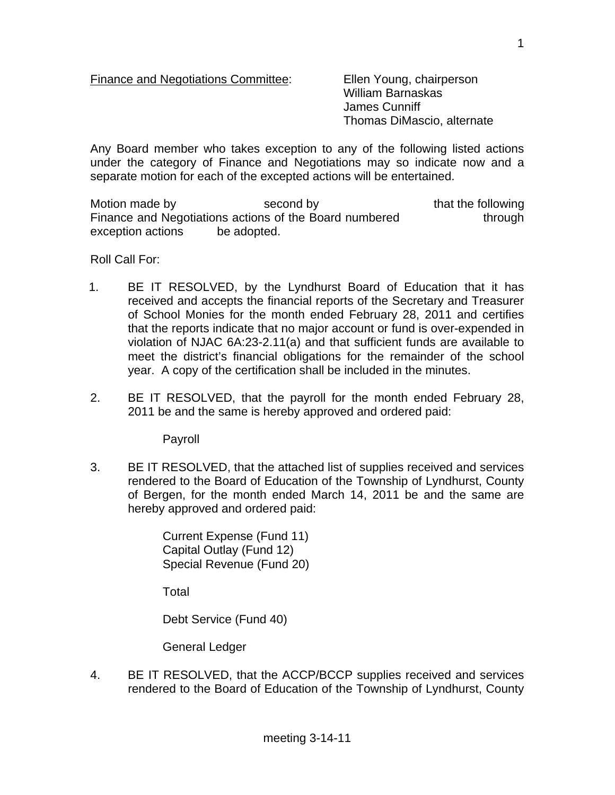Finance and Negotiations Committee: Ellen Young, chairperson

 William Barnaskas James Cunniff Thomas DiMascio, alternate

Any Board member who takes exception to any of the following listed actions under the category of Finance and Negotiations may so indicate now and a separate motion for each of the excepted actions will be entertained.

Motion made by second by that the following Finance and Negotiations actions of the Board numbered through exception actions be adopted.

Roll Call For:

- 1. BE IT RESOLVED, by the Lyndhurst Board of Education that it has received and accepts the financial reports of the Secretary and Treasurer of School Monies for the month ended February 28, 2011 and certifies that the reports indicate that no major account or fund is over-expended in violation of NJAC 6A:23-2.11(a) and that sufficient funds are available to meet the district's financial obligations for the remainder of the school year. A copy of the certification shall be included in the minutes.
- 2. BE IT RESOLVED, that the payroll for the month ended February 28, 2011 be and the same is hereby approved and ordered paid:

Payroll

3. BE IT RESOLVED, that the attached list of supplies received and services rendered to the Board of Education of the Township of Lyndhurst, County of Bergen, for the month ended March 14, 2011 be and the same are hereby approved and ordered paid:

> Current Expense (Fund 11) Capital Outlay (Fund 12) Special Revenue (Fund 20)

Total

Debt Service (Fund 40)

General Ledger

4. BE IT RESOLVED, that the ACCP/BCCP supplies received and services rendered to the Board of Education of the Township of Lyndhurst, County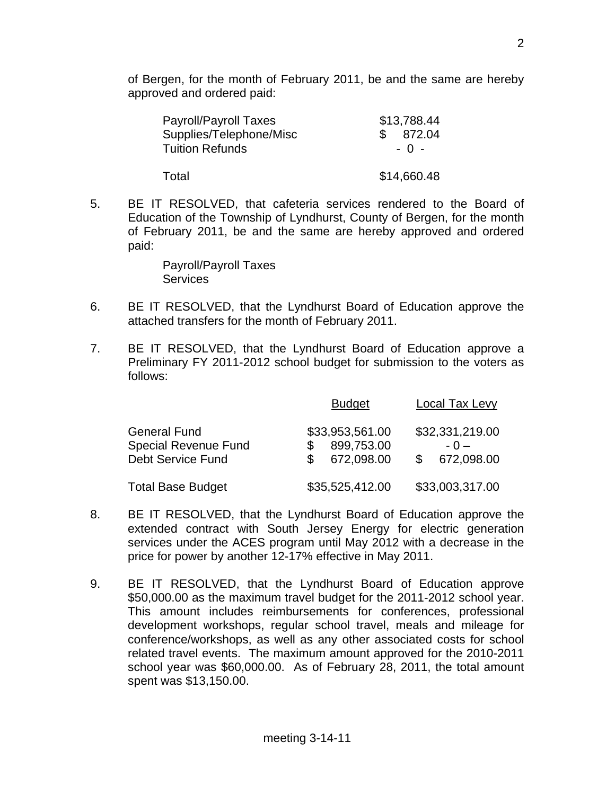of Bergen, for the month of February 2011, be and the same are hereby approved and ordered paid:

| Payroll/Payroll Taxes   | \$13,788.44 |
|-------------------------|-------------|
| Supplies/Telephone/Misc | \$872.04    |
| <b>Tuition Refunds</b>  | $-0 -$      |
| Total                   | \$14,660.48 |

5. BE IT RESOLVED, that cafeteria services rendered to the Board of Education of the Township of Lyndhurst, County of Bergen, for the month of February 2011, be and the same are hereby approved and ordered paid:

> Payroll/Payroll Taxes **Services**

- 6. BE IT RESOLVED, that the Lyndhurst Board of Education approve the attached transfers for the month of February 2011.
- 7. BE IT RESOLVED, that the Lyndhurst Board of Education approve a Preliminary FY 2011-2012 school budget for submission to the voters as follows:

|                                                                                | <b>Budget</b>                               | <b>Local Tax Levy</b>                  |
|--------------------------------------------------------------------------------|---------------------------------------------|----------------------------------------|
| <b>General Fund</b><br><b>Special Revenue Fund</b><br><b>Debt Service Fund</b> | \$33,953,561.00<br>899,753.00<br>672,098.00 | \$32,331,219.00<br>$-0-$<br>672,098.00 |
| <b>Total Base Budget</b>                                                       | \$35,525,412.00                             | \$33,003,317.00                        |

- 8. BE IT RESOLVED, that the Lyndhurst Board of Education approve the extended contract with South Jersey Energy for electric generation services under the ACES program until May 2012 with a decrease in the price for power by another 12-17% effective in May 2011.
- 9. BE IT RESOLVED, that the Lyndhurst Board of Education approve \$50,000.00 as the maximum travel budget for the 2011-2012 school year. This amount includes reimbursements for conferences, professional development workshops, regular school travel, meals and mileage for conference/workshops, as well as any other associated costs for school related travel events. The maximum amount approved for the 2010-2011 school year was \$60,000.00. As of February 28, 2011, the total amount spent was \$13,150.00.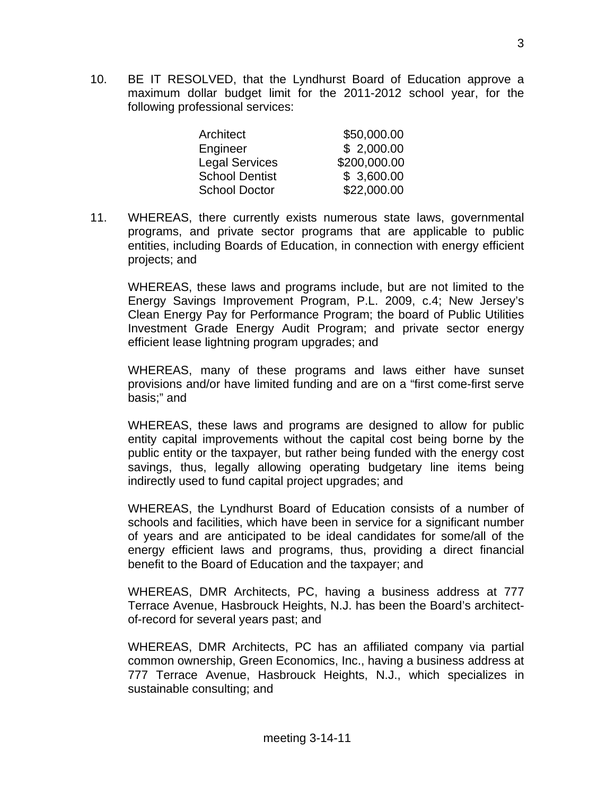10. BE IT RESOLVED, that the Lyndhurst Board of Education approve a maximum dollar budget limit for the 2011-2012 school year, for the following professional services:

| \$50,000.00  |
|--------------|
| \$2,000.00   |
| \$200,000.00 |
| \$3,600.00   |
| \$22,000.00  |
|              |

11. WHEREAS, there currently exists numerous state laws, governmental programs, and private sector programs that are applicable to public entities, including Boards of Education, in connection with energy efficient projects; and

 WHEREAS, these laws and programs include, but are not limited to the Energy Savings Improvement Program, P.L. 2009, c.4; New Jersey's Clean Energy Pay for Performance Program; the board of Public Utilities Investment Grade Energy Audit Program; and private sector energy efficient lease lightning program upgrades; and

 WHEREAS, many of these programs and laws either have sunset provisions and/or have limited funding and are on a "first come-first serve basis;" and

 WHEREAS, these laws and programs are designed to allow for public entity capital improvements without the capital cost being borne by the public entity or the taxpayer, but rather being funded with the energy cost savings, thus, legally allowing operating budgetary line items being indirectly used to fund capital project upgrades; and

 WHEREAS, the Lyndhurst Board of Education consists of a number of schools and facilities, which have been in service for a significant number of years and are anticipated to be ideal candidates for some/all of the energy efficient laws and programs, thus, providing a direct financial benefit to the Board of Education and the taxpayer; and

 WHEREAS, DMR Architects, PC, having a business address at 777 Terrace Avenue, Hasbrouck Heights, N.J. has been the Board's architectof-record for several years past; and

 WHEREAS, DMR Architects, PC has an affiliated company via partial common ownership, Green Economics, Inc., having a business address at 777 Terrace Avenue, Hasbrouck Heights, N.J., which specializes in sustainable consulting; and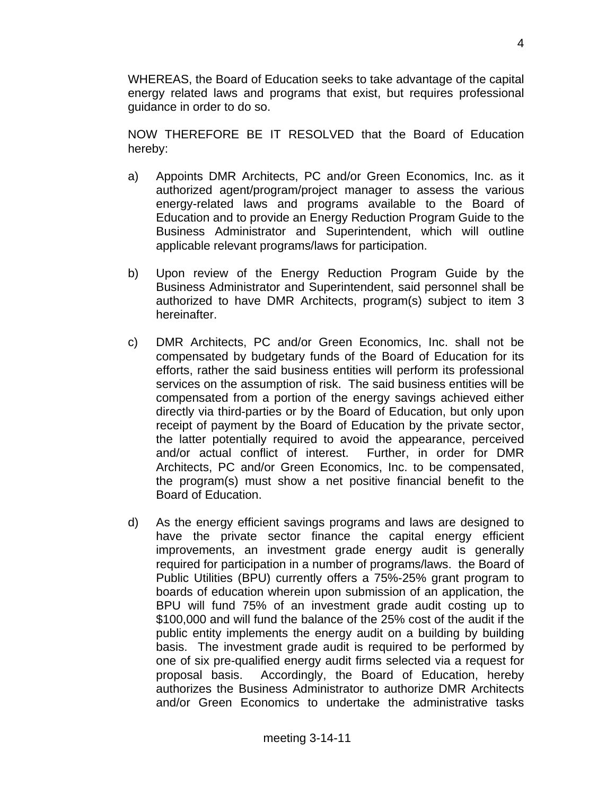WHEREAS, the Board of Education seeks to take advantage of the capital energy related laws and programs that exist, but requires professional guidance in order to do so.

 NOW THEREFORE BE IT RESOLVED that the Board of Education hereby:

- a) Appoints DMR Architects, PC and/or Green Economics, Inc. as it authorized agent/program/project manager to assess the various energy-related laws and programs available to the Board of Education and to provide an Energy Reduction Program Guide to the Business Administrator and Superintendent, which will outline applicable relevant programs/laws for participation.
- b) Upon review of the Energy Reduction Program Guide by the Business Administrator and Superintendent, said personnel shall be authorized to have DMR Architects, program(s) subject to item 3 hereinafter.
- c) DMR Architects, PC and/or Green Economics, Inc. shall not be compensated by budgetary funds of the Board of Education for its efforts, rather the said business entities will perform its professional services on the assumption of risk. The said business entities will be compensated from a portion of the energy savings achieved either directly via third-parties or by the Board of Education, but only upon receipt of payment by the Board of Education by the private sector, the latter potentially required to avoid the appearance, perceived and/or actual conflict of interest. Further, in order for DMR Architects, PC and/or Green Economics, Inc. to be compensated, the program(s) must show a net positive financial benefit to the Board of Education.
- d) As the energy efficient savings programs and laws are designed to have the private sector finance the capital energy efficient improvements, an investment grade energy audit is generally required for participation in a number of programs/laws. the Board of Public Utilities (BPU) currently offers a 75%-25% grant program to boards of education wherein upon submission of an application, the BPU will fund 75% of an investment grade audit costing up to \$100,000 and will fund the balance of the 25% cost of the audit if the public entity implements the energy audit on a building by building basis. The investment grade audit is required to be performed by one of six pre-qualified energy audit firms selected via a request for proposal basis. Accordingly, the Board of Education, hereby authorizes the Business Administrator to authorize DMR Architects and/or Green Economics to undertake the administrative tasks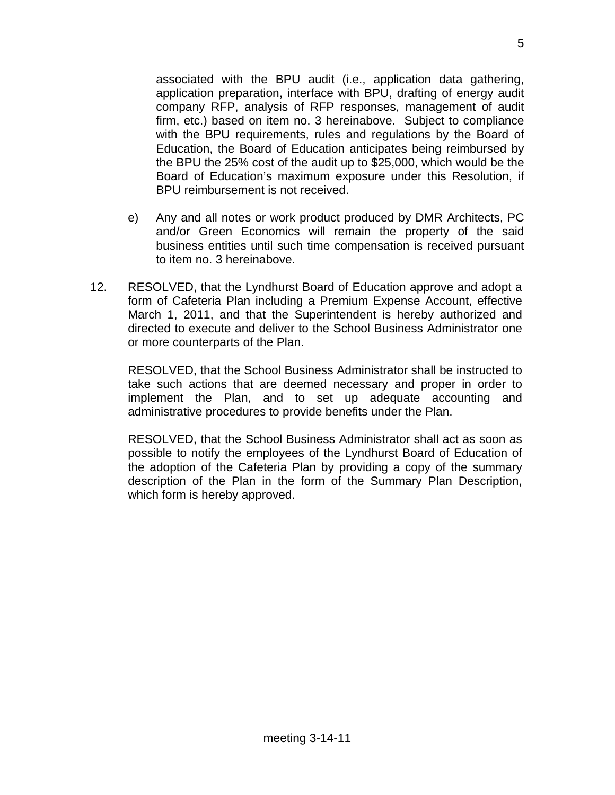associated with the BPU audit (i.e., application data gathering, application preparation, interface with BPU, drafting of energy audit company RFP, analysis of RFP responses, management of audit firm, etc.) based on item no. 3 hereinabove. Subject to compliance with the BPU requirements, rules and regulations by the Board of Education, the Board of Education anticipates being reimbursed by the BPU the 25% cost of the audit up to \$25,000, which would be the Board of Education's maximum exposure under this Resolution, if BPU reimbursement is not received.

- e) Any and all notes or work product produced by DMR Architects, PC and/or Green Economics will remain the property of the said business entities until such time compensation is received pursuant to item no. 3 hereinabove.
- 12. RESOLVED, that the Lyndhurst Board of Education approve and adopt a form of Cafeteria Plan including a Premium Expense Account, effective March 1, 2011, and that the Superintendent is hereby authorized and directed to execute and deliver to the School Business Administrator one or more counterparts of the Plan.

 RESOLVED, that the School Business Administrator shall be instructed to take such actions that are deemed necessary and proper in order to implement the Plan, and to set up adequate accounting and administrative procedures to provide benefits under the Plan.

 RESOLVED, that the School Business Administrator shall act as soon as possible to notify the employees of the Lyndhurst Board of Education of the adoption of the Cafeteria Plan by providing a copy of the summary description of the Plan in the form of the Summary Plan Description, which form is hereby approved.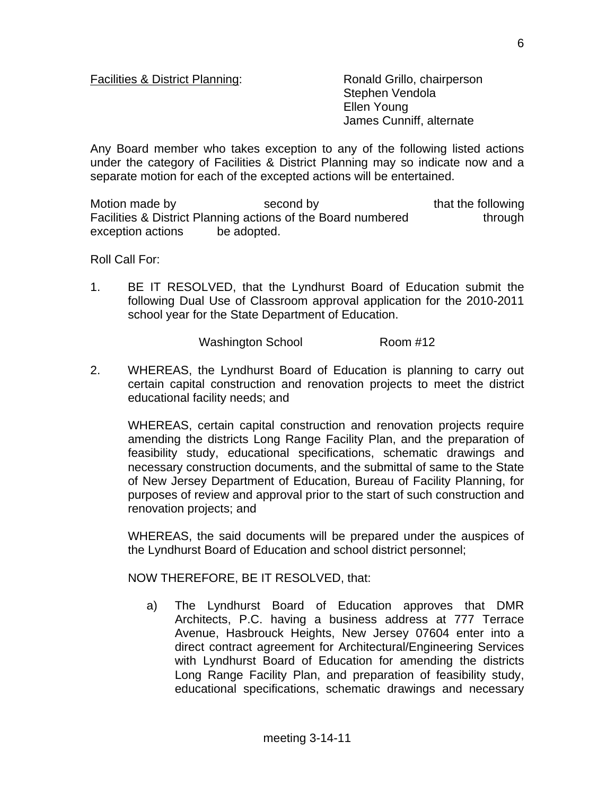## Facilities & District Planning: Ronald Grillo, chairperson

 Stephen Vendola Ellen Young James Cunniff, alternate

Any Board member who takes exception to any of the following listed actions under the category of Facilities & District Planning may so indicate now and a separate motion for each of the excepted actions will be entertained.

Motion made by second by that the following Facilities & District Planning actions of the Board numbered through exception actions be adopted.

Roll Call For:

1. BE IT RESOLVED, that the Lyndhurst Board of Education submit the following Dual Use of Classroom approval application for the 2010-2011 school year for the State Department of Education.

Washington School Room #12

2. WHEREAS, the Lyndhurst Board of Education is planning to carry out certain capital construction and renovation projects to meet the district educational facility needs; and

 WHEREAS, certain capital construction and renovation projects require amending the districts Long Range Facility Plan, and the preparation of feasibility study, educational specifications, schematic drawings and necessary construction documents, and the submittal of same to the State of New Jersey Department of Education, Bureau of Facility Planning, for purposes of review and approval prior to the start of such construction and renovation projects; and

 WHEREAS, the said documents will be prepared under the auspices of the Lyndhurst Board of Education and school district personnel;

NOW THEREFORE, BE IT RESOLVED, that:

a) The Lyndhurst Board of Education approves that DMR Architects, P.C. having a business address at 777 Terrace Avenue, Hasbrouck Heights, New Jersey 07604 enter into a direct contract agreement for Architectural/Engineering Services with Lyndhurst Board of Education for amending the districts Long Range Facility Plan, and preparation of feasibility study, educational specifications, schematic drawings and necessary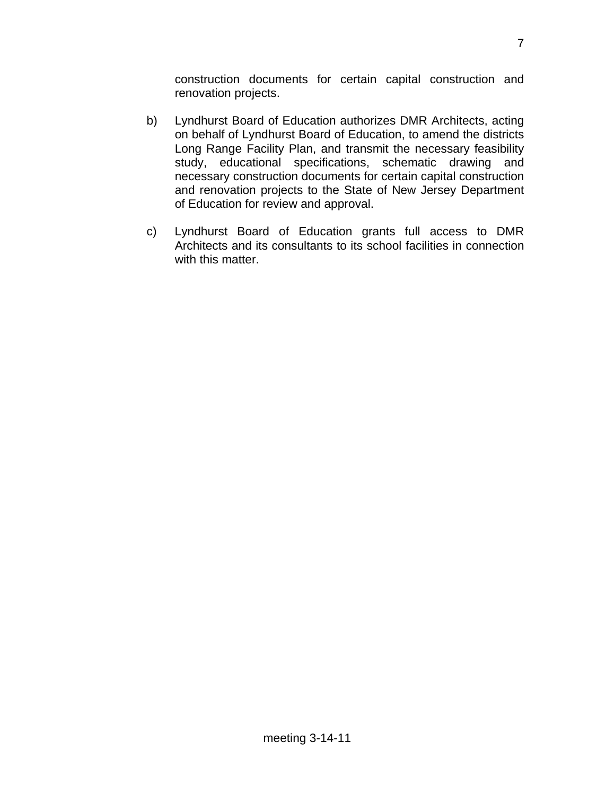construction documents for certain capital construction and renovation projects.

- b) Lyndhurst Board of Education authorizes DMR Architects, acting on behalf of Lyndhurst Board of Education, to amend the districts Long Range Facility Plan, and transmit the necessary feasibility study, educational specifications, schematic drawing and necessary construction documents for certain capital construction and renovation projects to the State of New Jersey Department of Education for review and approval.
- c) Lyndhurst Board of Education grants full access to DMR Architects and its consultants to its school facilities in connection with this matter.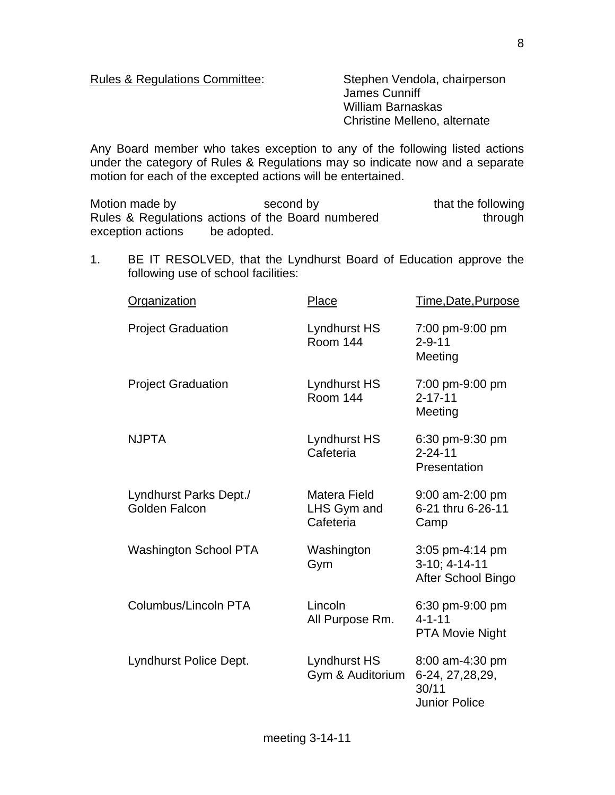Rules & Regulations Committee: Stephen Vendola, chairperson

 James Cunniff William Barnaskas Christine Melleno, alternate

Any Board member who takes exception to any of the following listed actions under the category of Rules & Regulations may so indicate now and a separate motion for each of the excepted actions will be entertained.

Motion made by second by that the following Rules & Regulations actions of the Board numbered through exception actions be adopted.

1. BE IT RESOLVED, that the Lyndhurst Board of Education approve the following use of school facilities:

| Organization                            | Place                                    | Time,Date,Purpose                                                     |
|-----------------------------------------|------------------------------------------|-----------------------------------------------------------------------|
| <b>Project Graduation</b>               | Lyndhurst HS<br><b>Room 144</b>          | 7:00 pm-9:00 pm<br>$2 - 9 - 11$<br>Meeting                            |
| <b>Project Graduation</b>               | Lyndhurst HS<br><b>Room 144</b>          | 7:00 pm-9:00 pm<br>$2 - 17 - 11$<br>Meeting                           |
| <b>NJPTA</b>                            | Lyndhurst HS<br>Cafeteria                | 6:30 pm-9:30 pm<br>$2 - 24 - 11$<br>Presentation                      |
| Lyndhurst Parks Dept./<br>Golden Falcon | Matera Field<br>LHS Gym and<br>Cafeteria | 9:00 am-2:00 pm<br>6-21 thru 6-26-11<br>Camp                          |
| <b>Washington School PTA</b>            | Washington<br>Gym                        | 3:05 pm-4:14 pm<br>3-10; 4-14-11<br>After School Bingo                |
| Columbus/Lincoln PTA                    | Lincoln<br>All Purpose Rm.               | 6:30 pm-9:00 pm<br>$4 - 1 - 11$<br><b>PTA Movie Night</b>             |
| Lyndhurst Police Dept.                  | Lyndhurst HS<br>Gym & Auditorium         | 8:00 am-4:30 pm<br>6-24, 27, 28, 29,<br>30/11<br><b>Junior Police</b> |